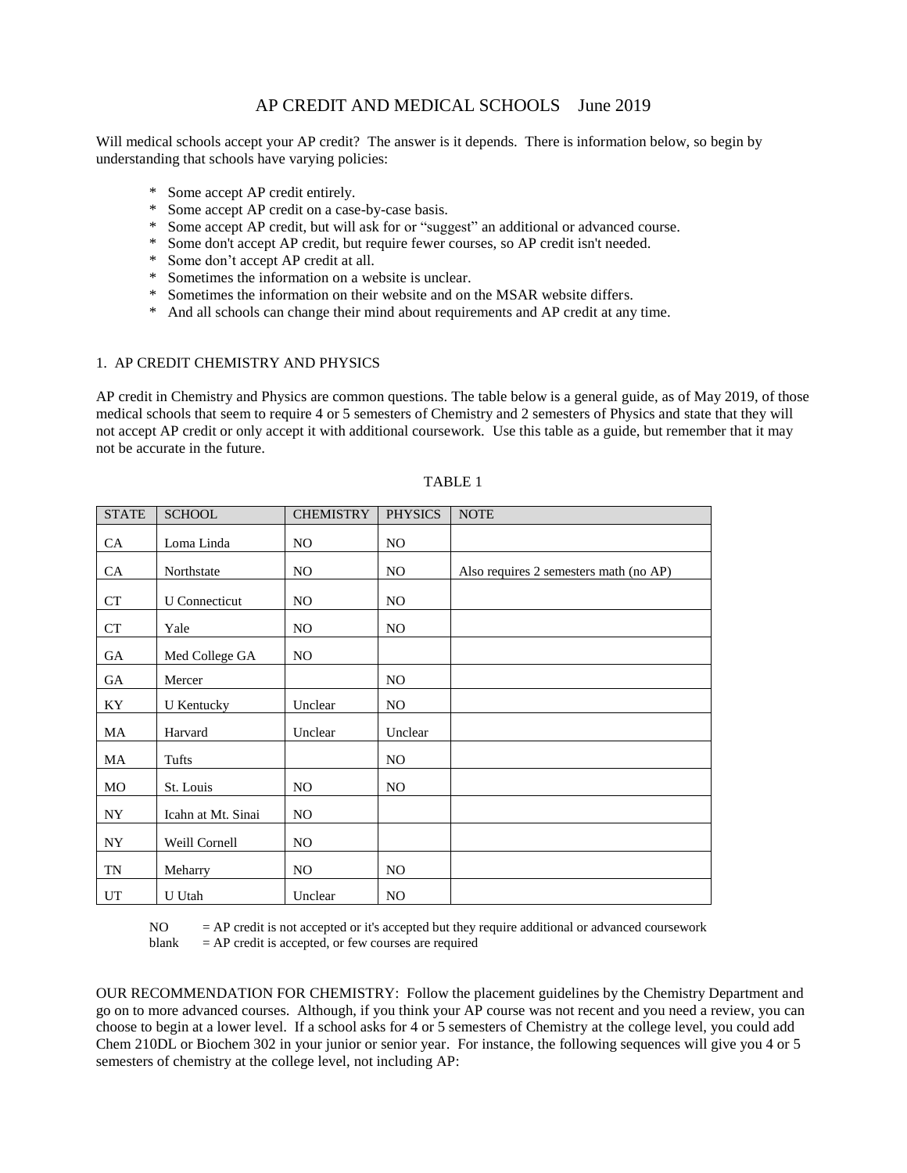## AP CREDIT AND MEDICAL SCHOOLS June 2019

Will medical schools accept your AP credit? The answer is it depends. There is information below, so begin by understanding that schools have varying policies:

- \* Some accept AP credit entirely.
- \* Some accept AP credit on a case-by-case basis.
- Some accept AP credit, but will ask for or "suggest" an additional or advanced course.
- Some don't accept AP credit, but require fewer courses, so AP credit isn't needed.
- \* Some don't accept AP credit at all.
- \* Sometimes the information on a website is unclear.
- \* Sometimes the information on their website and on the MSAR website differs.
- \* And all schools can change their mind about requirements and AP credit at any time.

## 1. AP CREDIT CHEMISTRY AND PHYSICS

AP credit in Chemistry and Physics are common questions. The table below is a general guide, as of May 2019, of those medical schools that seem to require 4 or 5 semesters of Chemistry and 2 semesters of Physics and state that they will not accept AP credit or only accept it with additional coursework. Use this table as a guide, but remember that it may not be accurate in the future.

| <b>STATE</b> | <b>SCHOOL</b>        | <b>CHEMISTRY</b> | <b>PHYSICS</b> | <b>NOTE</b>                            |
|--------------|----------------------|------------------|----------------|----------------------------------------|
| CA           | Loma Linda           | NO.              | NO.            |                                        |
| CA           | Northstate           | NO.              | NO.            | Also requires 2 semesters math (no AP) |
| CT           | <b>U</b> Connecticut | NO.              | NO.            |                                        |
| <b>CT</b>    | Yale                 | NO.              | NO.            |                                        |
| GA           | Med College GA       | NO.              |                |                                        |
| GA           | Mercer               |                  | NO.            |                                        |
| KY           | <b>U</b> Kentucky    | Unclear          | NO.            |                                        |
| MA           | Harvard              | Unclear          | Unclear        |                                        |
| MA           | Tufts                |                  | NO.            |                                        |
| MO           | St. Louis            | NO.              | NO.            |                                        |
| NY.          | Icahn at Mt. Sinai   | NO.              |                |                                        |
| <b>NY</b>    | Weill Cornell        | NO.              |                |                                        |
| TN           | Meharry              | NO.              | NO.            |                                        |
| UT           | U Utah               | Unclear          | N <sub>O</sub> |                                        |

## TABLE 1

NO = AP credit is not accepted or it's accepted but they require additional or advanced coursework blank  $= AP$  credit is accepted, or few courses are required

OUR RECOMMENDATION FOR CHEMISTRY: Follow the placement guidelines by the Chemistry Department and go on to more advanced courses. Although, if you think your AP course was not recent and you need a review, you can choose to begin at a lower level. If a school asks for 4 or 5 semesters of Chemistry at the college level, you could add Chem 210DL or Biochem 302 in your junior or senior year. For instance, the following sequences will give you 4 or 5 semesters of chemistry at the college level, not including AP: